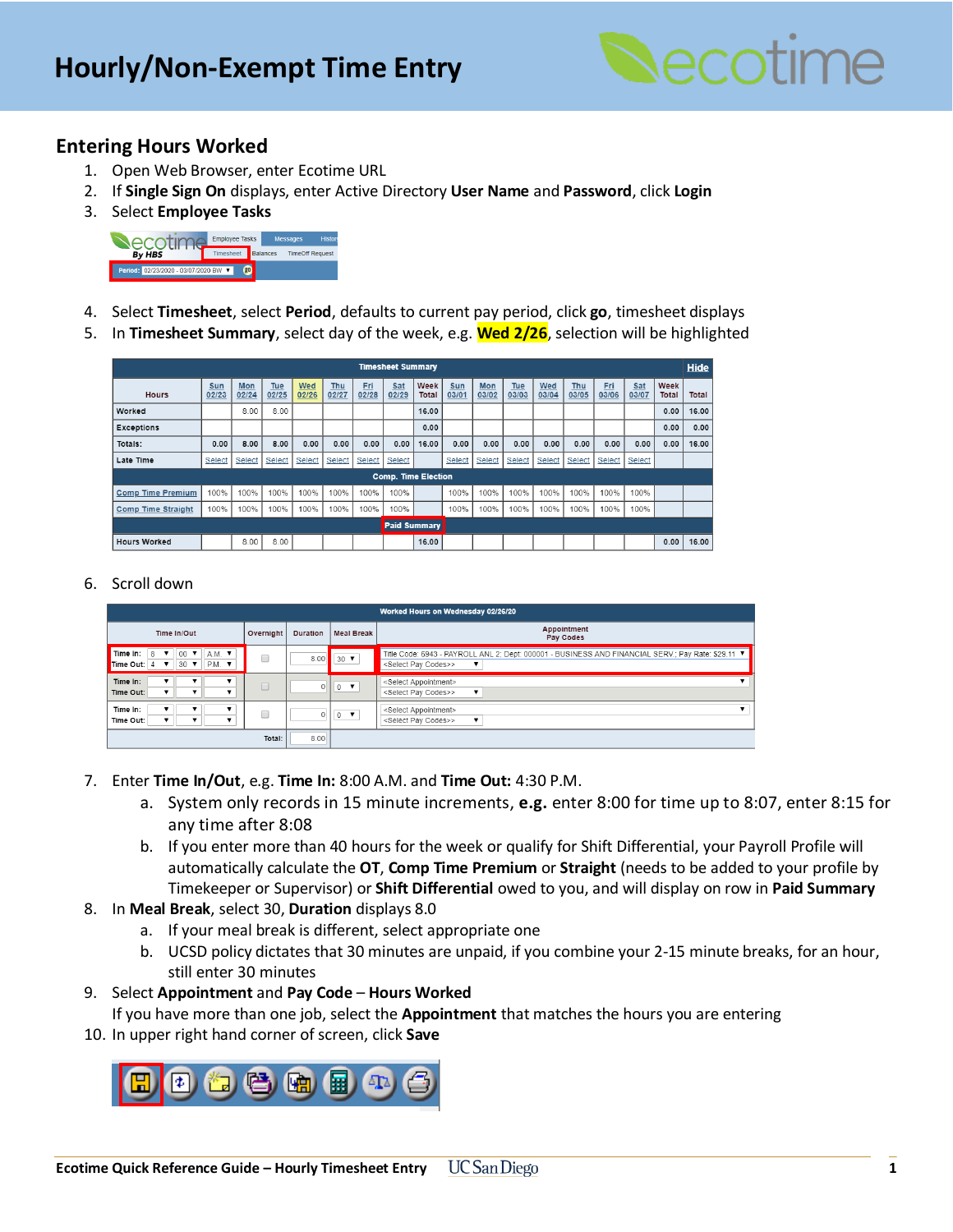

# **Entering Hours Worked**

- 1. Open Web Browser, enter Ecotime URL
- 2. If **Single Sign On** displays, enter Active Directory **User Name** and **Password**, click **Login**
- 3. Select **Employee Tasks**



- 4. Select **Timesheet**, select **Period**, defaults to current pay period, click **go**, timesheet displays
- 5. In **Timesheet Summary**, select day of the week, e.g. **Wed 2/26**, selection will be highlighted

| <b>Timesheet Summary</b>   |              |              |              |              |                     |              |              |               |              | Hide         |              |              |              |              |              |               |       |
|----------------------------|--------------|--------------|--------------|--------------|---------------------|--------------|--------------|---------------|--------------|--------------|--------------|--------------|--------------|--------------|--------------|---------------|-------|
| <b>Hours</b>               | Sun<br>02/23 | Mon<br>02/24 | Tue<br>02/25 | Wed<br>02/26 | <b>Thu</b><br>02/27 | Eri<br>02/28 | Sat<br>02/29 | Week<br>Total | Sun<br>03/01 | Mon<br>03/02 | Tue<br>03/03 | Wed<br>03/04 | Thu<br>03/05 | Fri<br>03/06 | Sat<br>03/07 | Week<br>Total | Total |
| Worked                     |              | 8.00         | 8.00         |              |                     |              |              | 16.00         |              |              |              |              |              |              |              | 0.00          | 16.00 |
| <b>Exceptions</b>          |              |              |              |              |                     |              |              | 0.00          |              |              |              |              |              |              |              | 0.00          | 0.00  |
| Totals:                    | 0.00         | 8.00         | 8.00         | 0.00         | 0.00                | 0.00         | 0.00         | 16.00         | 0.00         | 0.00         | 0.00         | 0.00         | 0.00         | 0.00         | 0.00         | 0.00          | 16.00 |
| Late Time                  | Select       | Select       | Select       | Select       | Select              | Select       | Select       |               | Select       | Select       | Select       | Select       | Select       | Select       | Select       |               |       |
| <b>Comp. Time Election</b> |              |              |              |              |                     |              |              |               |              |              |              |              |              |              |              |               |       |
| <b>Comp Time Premium</b>   | 100%         | 100%         | 100%         | 100%         | 100%                | 100%         | 100%         |               | 100%         | 100%         | 100%         | 100%         | 100%         | 100%         | 100%         |               |       |
| <b>Comp Time Straight</b>  | 100%         | 100%         | 100%         | 100%         | 100%                | 100%         | 100%         |               | 100%         | 100%         | 100%         | 100%         | 100%         | 100%         | 100%         |               |       |
| <b>Paid Summary</b>        |              |              |              |              |                     |              |              |               |              |              |              |              |              |              |              |               |       |
| <b>Hours Worked</b>        |              | 8.00         | 8.00         |              |                     |              |              | 16.00         |              |              |              |              |              |              |              | 0.00          | 16.00 |

#### 6. Scroll down

| Worked Hours on Wednesday 02/26/20                                                                               |           |                               |                                                     |                                                                                                                                                                                    |  |  |  |  |  |
|------------------------------------------------------------------------------------------------------------------|-----------|-------------------------------|-----------------------------------------------------|------------------------------------------------------------------------------------------------------------------------------------------------------------------------------------|--|--|--|--|--|
| Time In/Out                                                                                                      | Overnight | <b>Meal Break</b><br>Duration |                                                     | Appointment<br>Pay Codes                                                                                                                                                           |  |  |  |  |  |
| Time In:<br>8<br>$00$ $\blacktriangledown$<br>$A.M.$ $\blacktriangledown$<br>P.M.<br>$30 \bullet$<br>Time Out: 4 |           | 8.00                          | $\vert$ 30 $\vert$                                  | Title Code: 6943 - PAYROLL ANL 2; Dept: 000001 - BUSINESS AND FINANCIAL SERV.; Pay Rate: \$29.11 ▼<br><select codes="" pay="">&gt;<br/><math>\overline{\mathbf{v}}</math></select> |  |  |  |  |  |
| Time In:<br>Time Out:                                                                                            | O         |                               | $\mathbb{V} \circ \mathbb{V}$                       | <select appointment=""><br/><select codes="" pay="">&gt;<br/><math>\overline{\mathbf{v}}</math></select></select>                                                                  |  |  |  |  |  |
| Time In:<br>Time Out:                                                                                            |           |                               | $\overline{\phantom{a}}$ 0 $\overline{\phantom{a}}$ | <select appointment=""><br/><select codes="" pay="">&gt;<br/>▼</select></select>                                                                                                   |  |  |  |  |  |
|                                                                                                                  | Total:    | 8.00                          |                                                     |                                                                                                                                                                                    |  |  |  |  |  |

- 7. Enter **Time In/Out**, e.g. **Time In:** 8:00 A.M. and **Time Out:** 4:30 P.M.
	- a. System only records in 15 minute increments, **e.g.** enter 8:00 for time up to 8:07, enter 8:15 for any time after 8:08
	- b. If you enter more than 40 hours for the week or qualify for Shift Differential, your Payroll Profile will automatically calculate the **OT**, **Comp Time Premium** or **Straight** (needs to be added to your profile by Timekeeper or Supervisor) or **Shift Differential** owed to you, and will display on row in **Paid Summary**

#### 8. In **Meal Break**, select 30, **Duration** displays 8.0

- a. If your meal break is different, select appropriate one
- b. UCSD policy dictates that 30 minutes are unpaid, if you combine your 2-15 minute breaks, for an hour, still enter 30 minutes

## 9. Select **Appointment** and **Pay Code** – **Hours Worked**

If you have more than one job, select the **Appointment** that matches the hours you are entering

10. In upper right hand corner of screen, click **Save**